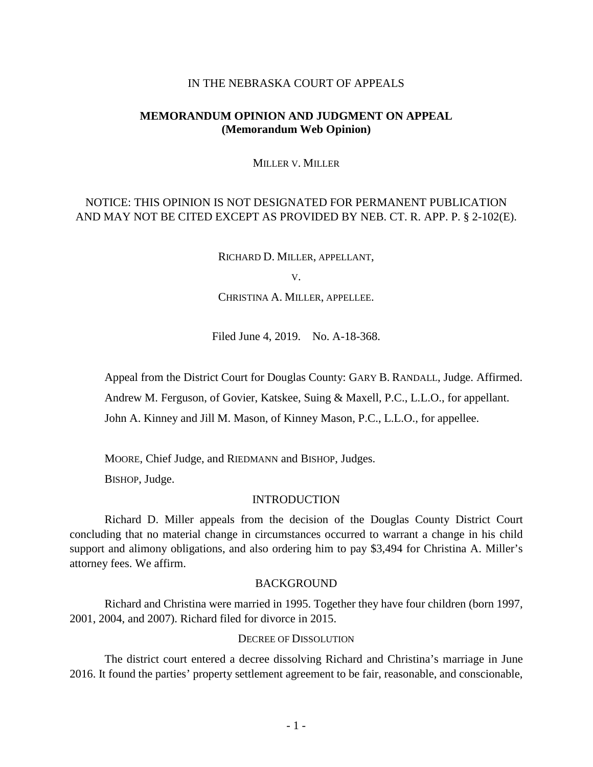## IN THE NEBRASKA COURT OF APPEALS

# **MEMORANDUM OPINION AND JUDGMENT ON APPEAL (Memorandum Web Opinion)**

#### MILLER V. MILLER

# NOTICE: THIS OPINION IS NOT DESIGNATED FOR PERMANENT PUBLICATION AND MAY NOT BE CITED EXCEPT AS PROVIDED BY NEB. CT. R. APP. P. § 2-102(E).

RICHARD D. MILLER, APPELLANT,

CHRISTINA A. MILLER, APPELLEE.

Filed June 4, 2019. No. A-18-368.

Appeal from the District Court for Douglas County: GARY B. RANDALL, Judge. Affirmed.

Andrew M. Ferguson, of Govier, Katskee, Suing & Maxell, P.C., L.L.O., for appellant.

John A. Kinney and Jill M. Mason, of Kinney Mason, P.C., L.L.O., for appellee.

MOORE, Chief Judge, and RIEDMANN and BISHOP, Judges.

BISHOP, Judge.

### INTRODUCTION

Richard D. Miller appeals from the decision of the Douglas County District Court concluding that no material change in circumstances occurred to warrant a change in his child support and alimony obligations, and also ordering him to pay \$3,494 for Christina A. Miller's attorney fees. We affirm.

### BACKGROUND

Richard and Christina were married in 1995. Together they have four children (born 1997, 2001, 2004, and 2007). Richard filed for divorce in 2015.

### DECREE OF DISSOLUTION

The district court entered a decree dissolving Richard and Christina's marriage in June 2016. It found the parties' property settlement agreement to be fair, reasonable, and conscionable,

V.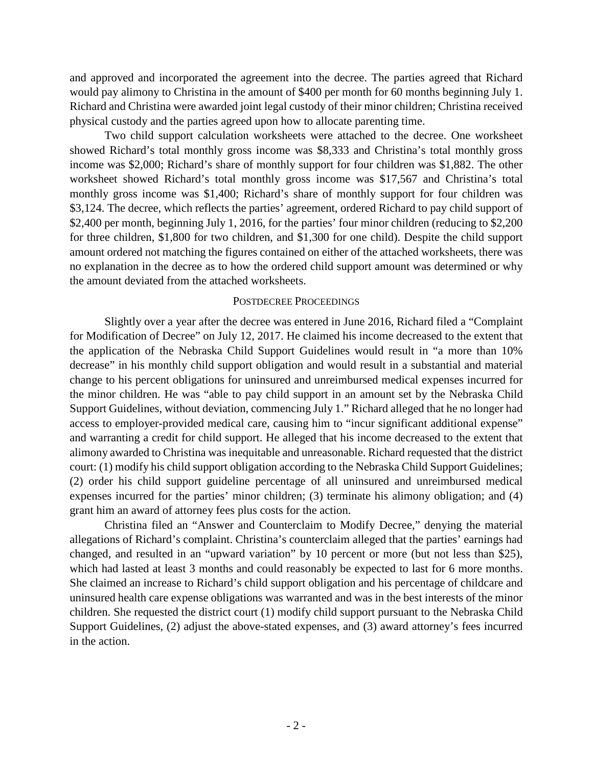and approved and incorporated the agreement into the decree. The parties agreed that Richard would pay alimony to Christina in the amount of \$400 per month for 60 months beginning July 1. Richard and Christina were awarded joint legal custody of their minor children; Christina received physical custody and the parties agreed upon how to allocate parenting time.

Two child support calculation worksheets were attached to the decree. One worksheet showed Richard's total monthly gross income was \$8,333 and Christina's total monthly gross income was \$2,000; Richard's share of monthly support for four children was \$1,882. The other worksheet showed Richard's total monthly gross income was \$17,567 and Christina's total monthly gross income was \$1,400; Richard's share of monthly support for four children was \$3,124. The decree, which reflects the parties' agreement, ordered Richard to pay child support of \$2,400 per month, beginning July 1, 2016, for the parties' four minor children (reducing to \$2,200) for three children, \$1,800 for two children, and \$1,300 for one child). Despite the child support amount ordered not matching the figures contained on either of the attached worksheets, there was no explanation in the decree as to how the ordered child support amount was determined or why the amount deviated from the attached worksheets.

## POSTDECREE PROCEEDINGS

Slightly over a year after the decree was entered in June 2016, Richard filed a "Complaint for Modification of Decree" on July 12, 2017. He claimed his income decreased to the extent that the application of the Nebraska Child Support Guidelines would result in "a more than 10% decrease" in his monthly child support obligation and would result in a substantial and material change to his percent obligations for uninsured and unreimbursed medical expenses incurred for the minor children. He was "able to pay child support in an amount set by the Nebraska Child Support Guidelines, without deviation, commencing July 1." Richard alleged that he no longer had access to employer-provided medical care, causing him to "incur significant additional expense" and warranting a credit for child support. He alleged that his income decreased to the extent that alimony awarded to Christina was inequitable and unreasonable. Richard requested that the district court: (1) modify his child support obligation according to the Nebraska Child Support Guidelines; (2) order his child support guideline percentage of all uninsured and unreimbursed medical expenses incurred for the parties' minor children; (3) terminate his alimony obligation; and (4) grant him an award of attorney fees plus costs for the action.

Christina filed an "Answer and Counterclaim to Modify Decree," denying the material allegations of Richard's complaint. Christina's counterclaim alleged that the parties' earnings had changed, and resulted in an "upward variation" by 10 percent or more (but not less than \$25), which had lasted at least 3 months and could reasonably be expected to last for 6 more months. She claimed an increase to Richard's child support obligation and his percentage of childcare and uninsured health care expense obligations was warranted and was in the best interests of the minor children. She requested the district court (1) modify child support pursuant to the Nebraska Child Support Guidelines, (2) adjust the above-stated expenses, and (3) award attorney's fees incurred in the action.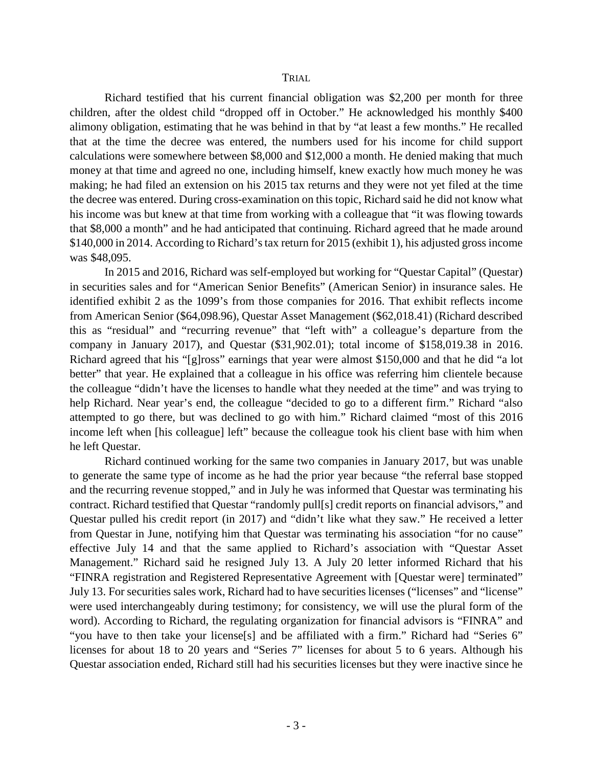Richard testified that his current financial obligation was \$2,200 per month for three children, after the oldest child "dropped off in October." He acknowledged his monthly \$400 alimony obligation, estimating that he was behind in that by "at least a few months." He recalled that at the time the decree was entered, the numbers used for his income for child support calculations were somewhere between \$8,000 and \$12,000 a month. He denied making that much money at that time and agreed no one, including himself, knew exactly how much money he was making; he had filed an extension on his 2015 tax returns and they were not yet filed at the time the decree was entered. During cross-examination on this topic, Richard said he did not know what his income was but knew at that time from working with a colleague that "it was flowing towards that \$8,000 a month" and he had anticipated that continuing. Richard agreed that he made around \$140,000 in 2014. According to Richard's tax return for 2015 (exhibit 1), his adjusted gross income was \$48,095.

In 2015 and 2016, Richard was self-employed but working for "Questar Capital" (Questar) in securities sales and for "American Senior Benefits" (American Senior) in insurance sales. He identified exhibit 2 as the 1099's from those companies for 2016. That exhibit reflects income from American Senior (\$64,098.96), Questar Asset Management (\$62,018.41) (Richard described this as "residual" and "recurring revenue" that "left with" a colleague's departure from the company in January 2017), and Questar (\$31,902.01); total income of \$158,019.38 in 2016. Richard agreed that his "[g]ross" earnings that year were almost \$150,000 and that he did "a lot better" that year. He explained that a colleague in his office was referring him clientele because the colleague "didn't have the licenses to handle what they needed at the time" and was trying to help Richard. Near year's end, the colleague "decided to go to a different firm." Richard "also attempted to go there, but was declined to go with him." Richard claimed "most of this 2016 income left when [his colleague] left" because the colleague took his client base with him when he left Questar.

Richard continued working for the same two companies in January 2017, but was unable to generate the same type of income as he had the prior year because "the referral base stopped and the recurring revenue stopped," and in July he was informed that Questar was terminating his contract. Richard testified that Questar "randomly pull[s] credit reports on financial advisors," and Questar pulled his credit report (in 2017) and "didn't like what they saw." He received a letter from Questar in June, notifying him that Questar was terminating his association "for no cause" effective July 14 and that the same applied to Richard's association with "Questar Asset Management." Richard said he resigned July 13. A July 20 letter informed Richard that his "FINRA registration and Registered Representative Agreement with [Questar were] terminated" July 13. For securities sales work, Richard had to have securities licenses ("licenses" and "license" were used interchangeably during testimony; for consistency, we will use the plural form of the word). According to Richard, the regulating organization for financial advisors is "FINRA" and "you have to then take your license[s] and be affiliated with a firm." Richard had "Series 6" licenses for about 18 to 20 years and "Series 7" licenses for about 5 to 6 years. Although his Questar association ended, Richard still had his securities licenses but they were inactive since he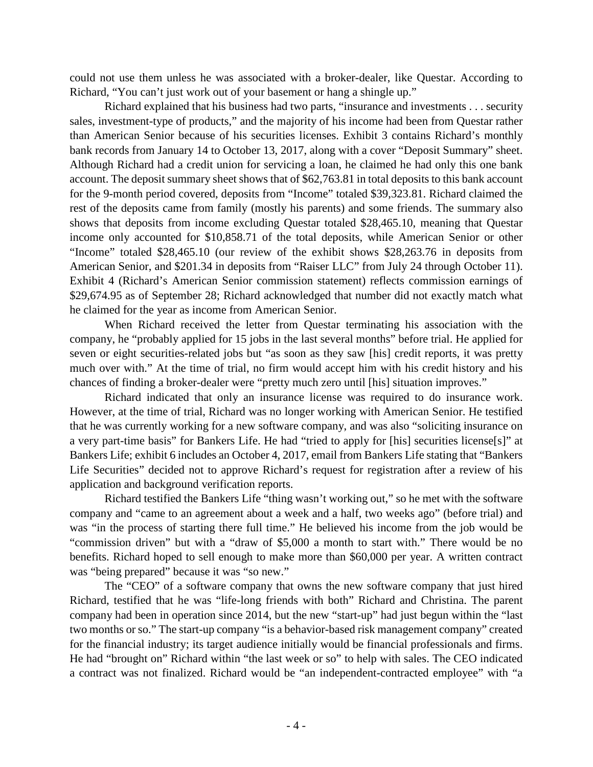could not use them unless he was associated with a broker-dealer, like Questar. According to Richard, "You can't just work out of your basement or hang a shingle up."

Richard explained that his business had two parts, "insurance and investments . . . security sales, investment-type of products," and the majority of his income had been from Questar rather than American Senior because of his securities licenses. Exhibit 3 contains Richard's monthly bank records from January 14 to October 13, 2017, along with a cover "Deposit Summary" sheet. Although Richard had a credit union for servicing a loan, he claimed he had only this one bank account. The deposit summary sheet shows that of \$62,763.81 in total deposits to this bank account for the 9-month period covered, deposits from "Income" totaled \$39,323.81. Richard claimed the rest of the deposits came from family (mostly his parents) and some friends. The summary also shows that deposits from income excluding Questar totaled \$28,465.10, meaning that Questar income only accounted for \$10,858.71 of the total deposits, while American Senior or other "Income" totaled \$28,465.10 (our review of the exhibit shows \$28,263.76 in deposits from American Senior, and \$201.34 in deposits from "Raiser LLC" from July 24 through October 11). Exhibit 4 (Richard's American Senior commission statement) reflects commission earnings of \$29,674.95 as of September 28; Richard acknowledged that number did not exactly match what he claimed for the year as income from American Senior.

When Richard received the letter from Questar terminating his association with the company, he "probably applied for 15 jobs in the last several months" before trial. He applied for seven or eight securities-related jobs but "as soon as they saw [his] credit reports, it was pretty much over with." At the time of trial, no firm would accept him with his credit history and his chances of finding a broker-dealer were "pretty much zero until [his] situation improves."

Richard indicated that only an insurance license was required to do insurance work. However, at the time of trial, Richard was no longer working with American Senior. He testified that he was currently working for a new software company, and was also "soliciting insurance on a very part-time basis" for Bankers Life. He had "tried to apply for [his] securities license[s]" at Bankers Life; exhibit 6 includes an October 4, 2017, email from Bankers Life stating that "Bankers Life Securities" decided not to approve Richard's request for registration after a review of his application and background verification reports.

Richard testified the Bankers Life "thing wasn't working out," so he met with the software company and "came to an agreement about a week and a half, two weeks ago" (before trial) and was "in the process of starting there full time." He believed his income from the job would be "commission driven" but with a "draw of \$5,000 a month to start with." There would be no benefits. Richard hoped to sell enough to make more than \$60,000 per year. A written contract was "being prepared" because it was "so new."

The "CEO" of a software company that owns the new software company that just hired Richard, testified that he was "life-long friends with both" Richard and Christina. The parent company had been in operation since 2014, but the new "start-up" had just begun within the "last two months or so." The start-up company "is a behavior-based risk management company" created for the financial industry; its target audience initially would be financial professionals and firms. He had "brought on" Richard within "the last week or so" to help with sales. The CEO indicated a contract was not finalized. Richard would be "an independent-contracted employee" with "a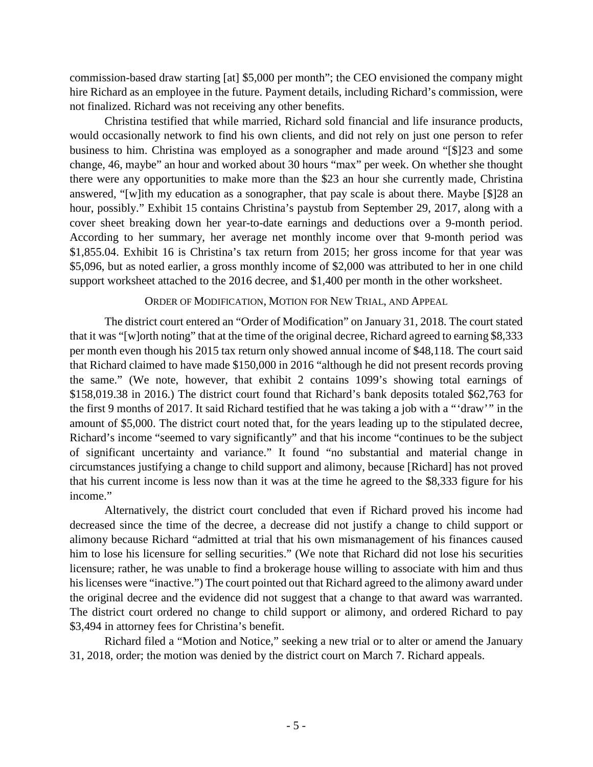commission-based draw starting [at] \$5,000 per month"; the CEO envisioned the company might hire Richard as an employee in the future. Payment details, including Richard's commission, were not finalized. Richard was not receiving any other benefits.

Christina testified that while married, Richard sold financial and life insurance products, would occasionally network to find his own clients, and did not rely on just one person to refer business to him. Christina was employed as a sonographer and made around "[\$]23 and some change, 46, maybe" an hour and worked about 30 hours "max" per week. On whether she thought there were any opportunities to make more than the \$23 an hour she currently made, Christina answered, "[w]ith my education as a sonographer, that pay scale is about there. Maybe [\$]28 an hour, possibly." Exhibit 15 contains Christina's paystub from September 29, 2017, along with a cover sheet breaking down her year-to-date earnings and deductions over a 9-month period. According to her summary, her average net monthly income over that 9-month period was \$1,855.04. Exhibit 16 is Christina's tax return from 2015; her gross income for that year was \$5,096, but as noted earlier, a gross monthly income of \$2,000 was attributed to her in one child support worksheet attached to the 2016 decree, and \$1,400 per month in the other worksheet.

## ORDER OF MODIFICATION, MOTION FOR NEW TRIAL, AND APPEAL

The district court entered an "Order of Modification" on January 31, 2018. The court stated that it was "[w]orth noting" that at the time of the original decree, Richard agreed to earning \$8,333 per month even though his 2015 tax return only showed annual income of \$48,118. The court said that Richard claimed to have made \$150,000 in 2016 "although he did not present records proving the same." (We note, however, that exhibit 2 contains 1099's showing total earnings of \$158,019.38 in 2016.) The district court found that Richard's bank deposits totaled \$62,763 for the first 9 months of 2017. It said Richard testified that he was taking a job with a "'draw'" in the amount of \$5,000. The district court noted that, for the years leading up to the stipulated decree, Richard's income "seemed to vary significantly" and that his income "continues to be the subject of significant uncertainty and variance." It found "no substantial and material change in circumstances justifying a change to child support and alimony, because [Richard] has not proved that his current income is less now than it was at the time he agreed to the \$8,333 figure for his income."

Alternatively, the district court concluded that even if Richard proved his income had decreased since the time of the decree, a decrease did not justify a change to child support or alimony because Richard "admitted at trial that his own mismanagement of his finances caused him to lose his licensure for selling securities." (We note that Richard did not lose his securities licensure; rather, he was unable to find a brokerage house willing to associate with him and thus his licenses were "inactive.") The court pointed out that Richard agreed to the alimony award under the original decree and the evidence did not suggest that a change to that award was warranted. The district court ordered no change to child support or alimony, and ordered Richard to pay \$3,494 in attorney fees for Christina's benefit.

Richard filed a "Motion and Notice," seeking a new trial or to alter or amend the January 31, 2018, order; the motion was denied by the district court on March 7. Richard appeals.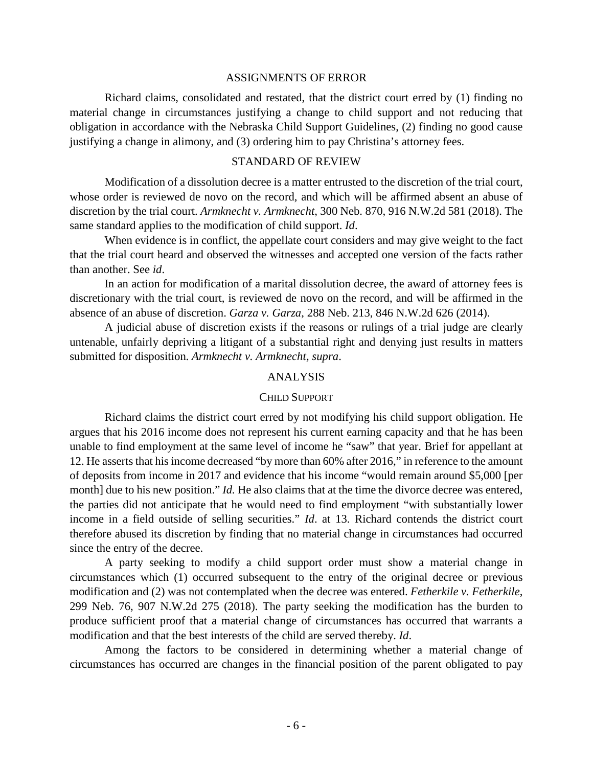#### ASSIGNMENTS OF ERROR

Richard claims, consolidated and restated, that the district court erred by (1) finding no material change in circumstances justifying a change to child support and not reducing that obligation in accordance with the Nebraska Child Support Guidelines, (2) finding no good cause justifying a change in alimony, and (3) ordering him to pay Christina's attorney fees.

# STANDARD OF REVIEW

Modification of a dissolution decree is a matter entrusted to the discretion of the trial court, whose order is reviewed de novo on the record, and which will be affirmed absent an abuse of discretion by the trial court. *Armknecht v. Armknecht*, 300 Neb. 870, 916 N.W.2d 581 (2018). The same standard applies to the modification of child support. *Id*.

When evidence is in conflict, the appellate court considers and may give weight to the fact that the trial court heard and observed the witnesses and accepted one version of the facts rather than another. See *id*.

In an action for modification of a marital dissolution decree, the award of attorney fees is discretionary with the trial court, is reviewed de novo on the record, and will be affirmed in the absence of an abuse of discretion. *Garza v. Garza*, 288 Neb. 213, 846 N.W.2d 626 (2014).

A judicial abuse of discretion exists if the reasons or rulings of a trial judge are clearly untenable, unfairly depriving a litigant of a substantial right and denying just results in matters submitted for disposition. *Armknecht v. Armknecht, supra*.

# ANALYSIS

#### CHILD SUPPORT

Richard claims the district court erred by not modifying his child support obligation. He argues that his 2016 income does not represent his current earning capacity and that he has been unable to find employment at the same level of income he "saw" that year. Brief for appellant at 12. He asserts that his income decreased "by more than 60% after 2016," in reference to the amount of deposits from income in 2017 and evidence that his income "would remain around \$5,000 [per month] due to his new position." *Id.* He also claims that at the time the divorce decree was entered, the parties did not anticipate that he would need to find employment "with substantially lower income in a field outside of selling securities." *Id*. at 13. Richard contends the district court therefore abused its discretion by finding that no material change in circumstances had occurred since the entry of the decree.

A party seeking to modify a child support order must show a material change in circumstances which (1) occurred subsequent to the entry of the original decree or previous modification and (2) was not contemplated when the decree was entered. *Fetherkile v. Fetherkile*, 299 Neb. 76, 907 N.W.2d 275 (2018). The party seeking the modification has the burden to produce sufficient proof that a material change of circumstances has occurred that warrants a modification and that the best interests of the child are served thereby. *Id*.

Among the factors to be considered in determining whether a material change of circumstances has occurred are changes in the financial position of the parent obligated to pay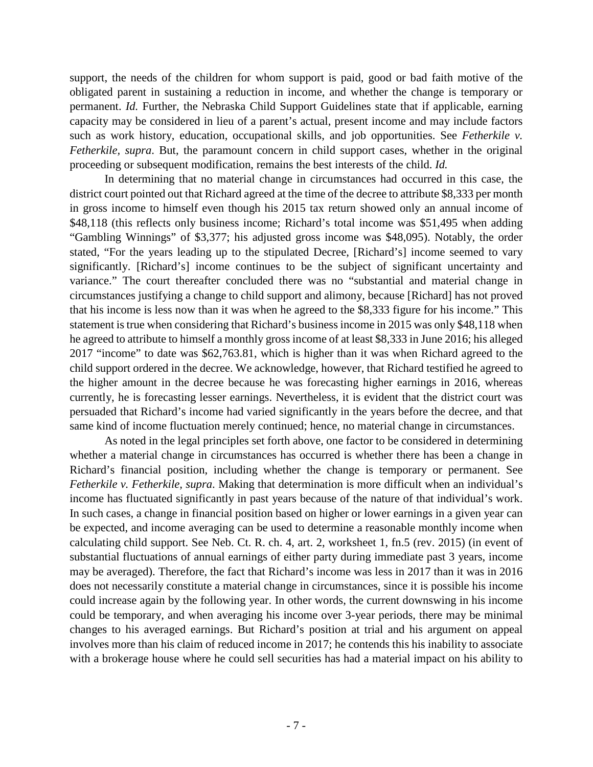support, the needs of the children for whom support is paid, good or bad faith motive of the obligated parent in sustaining a reduction in income, and whether the change is temporary or permanent. *Id.* Further, the Nebraska Child Support Guidelines state that if applicable, earning capacity may be considered in lieu of a parent's actual, present income and may include factors such as work history, education, occupational skills, and job opportunities. See *Fetherkile v. Fetherkile, supra*. But, the paramount concern in child support cases, whether in the original proceeding or subsequent modification, remains the best interests of the child. *Id.*

In determining that no material change in circumstances had occurred in this case, the district court pointed out that Richard agreed at the time of the decree to attribute \$8,333 per month in gross income to himself even though his 2015 tax return showed only an annual income of \$48,118 (this reflects only business income; Richard's total income was \$51,495 when adding "Gambling Winnings" of \$3,377; his adjusted gross income was \$48,095). Notably, the order stated, "For the years leading up to the stipulated Decree, [Richard's] income seemed to vary significantly. [Richard's] income continues to be the subject of significant uncertainty and variance." The court thereafter concluded there was no "substantial and material change in circumstances justifying a change to child support and alimony, because [Richard] has not proved that his income is less now than it was when he agreed to the \$8,333 figure for his income." This statement is true when considering that Richard's business income in 2015 was only \$48,118 when he agreed to attribute to himself a monthly gross income of at least \$8,333 in June 2016; his alleged 2017 "income" to date was \$62,763.81, which is higher than it was when Richard agreed to the child support ordered in the decree. We acknowledge, however, that Richard testified he agreed to the higher amount in the decree because he was forecasting higher earnings in 2016, whereas currently, he is forecasting lesser earnings. Nevertheless, it is evident that the district court was persuaded that Richard's income had varied significantly in the years before the decree, and that same kind of income fluctuation merely continued; hence, no material change in circumstances.

As noted in the legal principles set forth above, one factor to be considered in determining whether a material change in circumstances has occurred is whether there has been a change in Richard's financial position, including whether the change is temporary or permanent. See *Fetherkile v. Fetherkile, supra*. Making that determination is more difficult when an individual's income has fluctuated significantly in past years because of the nature of that individual's work. In such cases, a change in financial position based on higher or lower earnings in a given year can be expected, and income averaging can be used to determine a reasonable monthly income when calculating child support. See Neb. Ct. R. ch. 4, art. 2, worksheet 1, fn.5 (rev. 2015) (in event of substantial fluctuations of annual earnings of either party during immediate past 3 years, income may be averaged). Therefore, the fact that Richard's income was less in 2017 than it was in 2016 does not necessarily constitute a material change in circumstances, since it is possible his income could increase again by the following year. In other words, the current downswing in his income could be temporary, and when averaging his income over 3-year periods, there may be minimal changes to his averaged earnings. But Richard's position at trial and his argument on appeal involves more than his claim of reduced income in 2017; he contends this his inability to associate with a brokerage house where he could sell securities has had a material impact on his ability to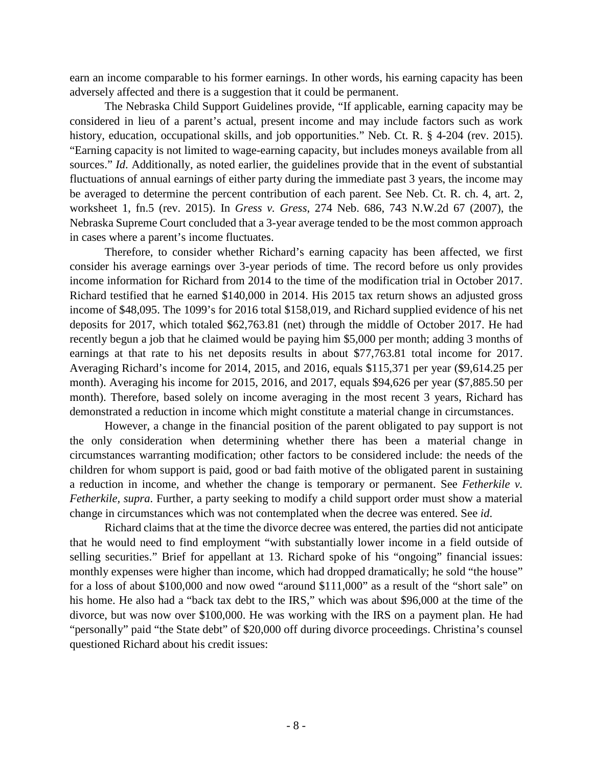earn an income comparable to his former earnings. In other words, his earning capacity has been adversely affected and there is a suggestion that it could be permanent.

The Nebraska Child Support Guidelines provide, "If applicable, earning capacity may be considered in lieu of a parent's actual, present income and may include factors such as work history, education, occupational skills, and job opportunities." Neb. Ct. R. § 4-204 (rev. 2015). "Earning capacity is not limited to wage-earning capacity, but includes moneys available from all sources." *Id.* Additionally, as noted earlier, the guidelines provide that in the event of substantial fluctuations of annual earnings of either party during the immediate past 3 years, the income may be averaged to determine the percent contribution of each parent. See Neb. Ct. R. ch. 4, art. 2, worksheet 1, fn.5 (rev. 2015). In *Gress v. Gress*, 274 Neb. 686, 743 N.W.2d 67 (2007), the Nebraska Supreme Court concluded that a 3-year average tended to be the most common approach in cases where a parent's income fluctuates.

Therefore, to consider whether Richard's earning capacity has been affected, we first consider his average earnings over 3-year periods of time. The record before us only provides income information for Richard from 2014 to the time of the modification trial in October 2017. Richard testified that he earned \$140,000 in 2014. His 2015 tax return shows an adjusted gross income of \$48,095. The 1099's for 2016 total \$158,019, and Richard supplied evidence of his net deposits for 2017, which totaled \$62,763.81 (net) through the middle of October 2017. He had recently begun a job that he claimed would be paying him \$5,000 per month; adding 3 months of earnings at that rate to his net deposits results in about \$77,763.81 total income for 2017. Averaging Richard's income for 2014, 2015, and 2016, equals \$115,371 per year (\$9,614.25 per month). Averaging his income for 2015, 2016, and 2017, equals \$94,626 per year (\$7,885.50 per month). Therefore, based solely on income averaging in the most recent 3 years, Richard has demonstrated a reduction in income which might constitute a material change in circumstances.

However, a change in the financial position of the parent obligated to pay support is not the only consideration when determining whether there has been a material change in circumstances warranting modification; other factors to be considered include: the needs of the children for whom support is paid, good or bad faith motive of the obligated parent in sustaining a reduction in income, and whether the change is temporary or permanent. See *Fetherkile v. Fetherkile, supra*. Further, a party seeking to modify a child support order must show a material change in circumstances which was not contemplated when the decree was entered. See *id*.

Richard claims that at the time the divorce decree was entered, the parties did not anticipate that he would need to find employment "with substantially lower income in a field outside of selling securities." Brief for appellant at 13. Richard spoke of his "ongoing" financial issues: monthly expenses were higher than income, which had dropped dramatically; he sold "the house" for a loss of about \$100,000 and now owed "around \$111,000" as a result of the "short sale" on his home. He also had a "back tax debt to the IRS," which was about \$96,000 at the time of the divorce, but was now over \$100,000. He was working with the IRS on a payment plan. He had "personally" paid "the State debt" of \$20,000 off during divorce proceedings. Christina's counsel questioned Richard about his credit issues: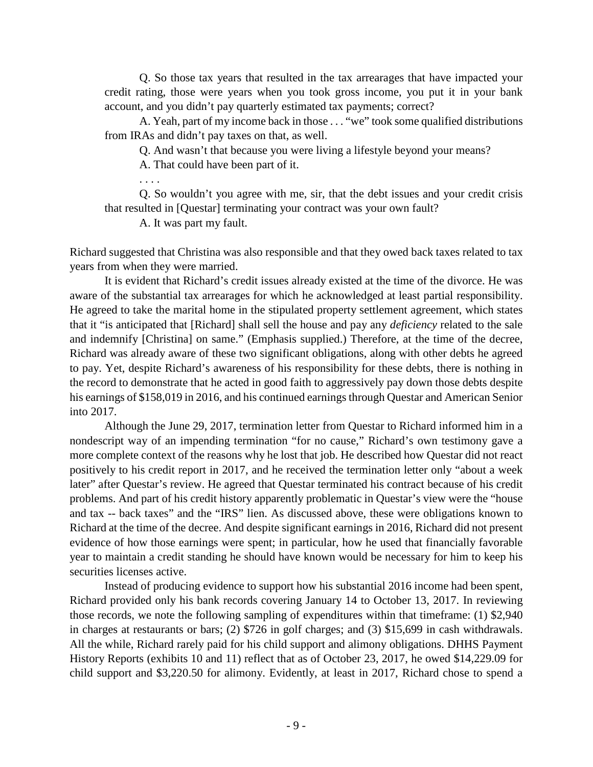Q. So those tax years that resulted in the tax arrearages that have impacted your credit rating, those were years when you took gross income, you put it in your bank account, and you didn't pay quarterly estimated tax payments; correct?

A. Yeah, part of my income back in those . . . "we" took some qualified distributions from IRAs and didn't pay taxes on that, as well.

Q. And wasn't that because you were living a lifestyle beyond your means?

A. That could have been part of it.

. . . .

Q. So wouldn't you agree with me, sir, that the debt issues and your credit crisis that resulted in [Questar] terminating your contract was your own fault?

A. It was part my fault.

Richard suggested that Christina was also responsible and that they owed back taxes related to tax years from when they were married.

It is evident that Richard's credit issues already existed at the time of the divorce. He was aware of the substantial tax arrearages for which he acknowledged at least partial responsibility. He agreed to take the marital home in the stipulated property settlement agreement, which states that it "is anticipated that [Richard] shall sell the house and pay any *deficiency* related to the sale and indemnify [Christina] on same." (Emphasis supplied.) Therefore, at the time of the decree, Richard was already aware of these two significant obligations, along with other debts he agreed to pay. Yet, despite Richard's awareness of his responsibility for these debts, there is nothing in the record to demonstrate that he acted in good faith to aggressively pay down those debts despite his earnings of \$158,019 in 2016, and his continued earnings through Questar and American Senior into 2017.

Although the June 29, 2017, termination letter from Questar to Richard informed him in a nondescript way of an impending termination "for no cause," Richard's own testimony gave a more complete context of the reasons why he lost that job. He described how Questar did not react positively to his credit report in 2017, and he received the termination letter only "about a week later" after Questar's review. He agreed that Questar terminated his contract because of his credit problems. And part of his credit history apparently problematic in Questar's view were the "house and tax -- back taxes" and the "IRS" lien. As discussed above, these were obligations known to Richard at the time of the decree. And despite significant earnings in 2016, Richard did not present evidence of how those earnings were spent; in particular, how he used that financially favorable year to maintain a credit standing he should have known would be necessary for him to keep his securities licenses active.

Instead of producing evidence to support how his substantial 2016 income had been spent, Richard provided only his bank records covering January 14 to October 13, 2017. In reviewing those records, we note the following sampling of expenditures within that timeframe: (1) \$2,940 in charges at restaurants or bars; (2) \$726 in golf charges; and (3) \$15,699 in cash withdrawals. All the while, Richard rarely paid for his child support and alimony obligations. DHHS Payment History Reports (exhibits 10 and 11) reflect that as of October 23, 2017, he owed \$14,229.09 for child support and \$3,220.50 for alimony. Evidently, at least in 2017, Richard chose to spend a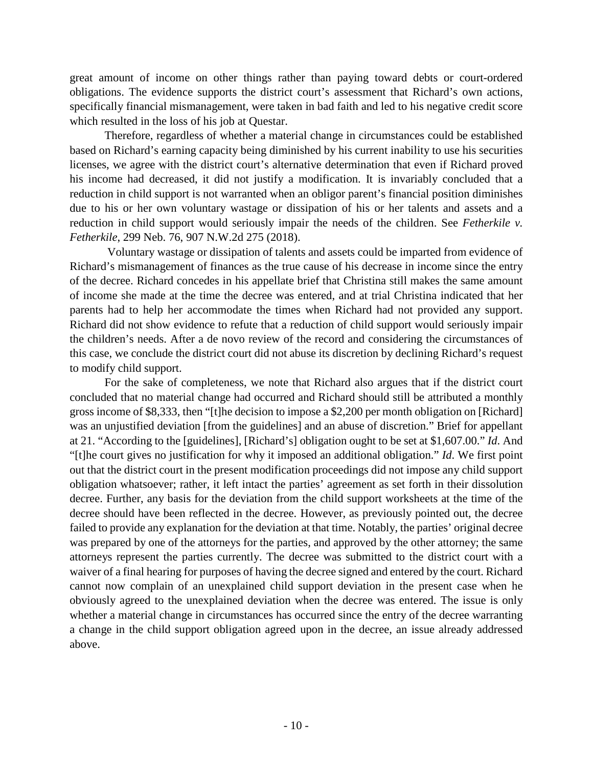great amount of income on other things rather than paying toward debts or court-ordered obligations. The evidence supports the district court's assessment that Richard's own actions, specifically financial mismanagement, were taken in bad faith and led to his negative credit score which resulted in the loss of his job at Questar.

Therefore, regardless of whether a material change in circumstances could be established based on Richard's earning capacity being diminished by his current inability to use his securities licenses, we agree with the district court's alternative determination that even if Richard proved his income had decreased, it did not justify a modification. It is invariably concluded that a reduction in child support is not warranted when an obligor parent's financial position diminishes due to his or her own voluntary wastage or dissipation of his or her talents and assets and a reduction in child support would seriously impair the needs of the children. See *Fetherkile v. Fetherkile*, 299 Neb. 76, 907 N.W.2d 275 (2018).

Voluntary wastage or dissipation of talents and assets could be imparted from evidence of Richard's mismanagement of finances as the true cause of his decrease in income since the entry of the decree. Richard concedes in his appellate brief that Christina still makes the same amount of income she made at the time the decree was entered, and at trial Christina indicated that her parents had to help her accommodate the times when Richard had not provided any support. Richard did not show evidence to refute that a reduction of child support would seriously impair the children's needs. After a de novo review of the record and considering the circumstances of this case, we conclude the district court did not abuse its discretion by declining Richard's request to modify child support.

For the sake of completeness, we note that Richard also argues that if the district court concluded that no material change had occurred and Richard should still be attributed a monthly gross income of \$8,333, then "[t]he decision to impose a \$2,200 per month obligation on [Richard] was an unjustified deviation [from the guidelines] and an abuse of discretion." Brief for appellant at 21. "According to the [guidelines], [Richard's] obligation ought to be set at \$1,607.00." *Id*. And "[t]he court gives no justification for why it imposed an additional obligation." *Id*. We first point out that the district court in the present modification proceedings did not impose any child support obligation whatsoever; rather, it left intact the parties' agreement as set forth in their dissolution decree. Further, any basis for the deviation from the child support worksheets at the time of the decree should have been reflected in the decree. However, as previously pointed out, the decree failed to provide any explanation for the deviation at that time. Notably, the parties' original decree was prepared by one of the attorneys for the parties, and approved by the other attorney; the same attorneys represent the parties currently. The decree was submitted to the district court with a waiver of a final hearing for purposes of having the decree signed and entered by the court. Richard cannot now complain of an unexplained child support deviation in the present case when he obviously agreed to the unexplained deviation when the decree was entered. The issue is only whether a material change in circumstances has occurred since the entry of the decree warranting a change in the child support obligation agreed upon in the decree, an issue already addressed above.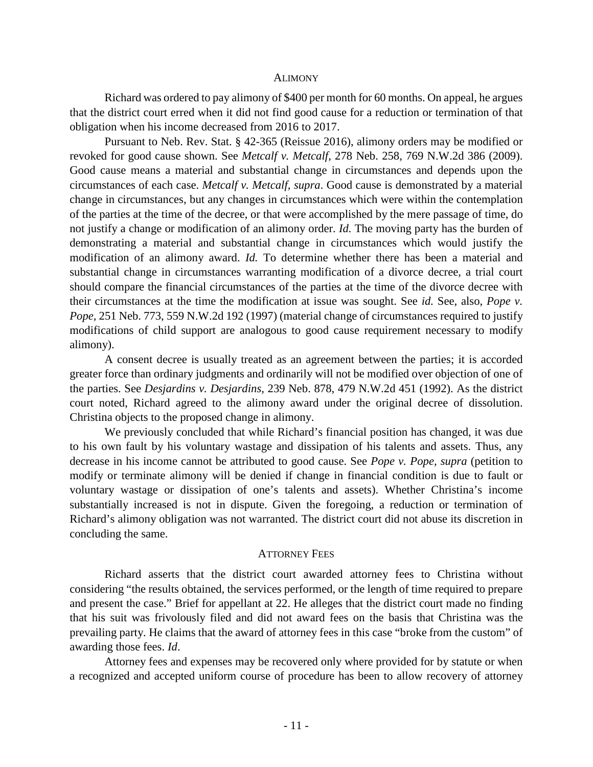#### ALIMONY

Richard was ordered to pay alimony of \$400 per month for 60 months. On appeal, he argues that the district court erred when it did not find good cause for a reduction or termination of that obligation when his income decreased from 2016 to 2017.

Pursuant to Neb. Rev. Stat. § 42-365 (Reissue 2016), alimony orders may be modified or revoked for good cause shown. See *Metcalf v. Metcalf*, 278 Neb. 258, 769 N.W.2d 386 (2009). Good cause means a material and substantial change in circumstances and depends upon the circumstances of each case. *Metcalf v. Metcalf, supra*. Good cause is demonstrated by a material change in circumstances, but any changes in circumstances which were within the contemplation of the parties at the time of the decree, or that were accomplished by the mere passage of time, do not justify a change or modification of an alimony order. *Id.* The moving party has the burden of demonstrating a material and substantial change in circumstances which would justify the modification of an alimony award. *Id.* To determine whether there has been a material and substantial change in circumstances warranting modification of a divorce decree, a trial court should compare the financial circumstances of the parties at the time of the divorce decree with their circumstances at the time the modification at issue was sought. See *id.* See, also, *Pope v. Pope*, 251 Neb. 773, 559 N.W.2d 192 (1997) (material change of circumstances required to justify modifications of child support are analogous to good cause requirement necessary to modify alimony).

A consent decree is usually treated as an agreement between the parties; it is accorded greater force than ordinary judgments and ordinarily will not be modified over objection of one of the parties. See *Desjardins v. Desjardins*, 239 Neb. 878, 479 N.W.2d 451 (1992). As the district court noted, Richard agreed to the alimony award under the original decree of dissolution. Christina objects to the proposed change in alimony.

We previously concluded that while Richard's financial position has changed, it was due to his own fault by his voluntary wastage and dissipation of his talents and assets. Thus, any decrease in his income cannot be attributed to good cause. See *Pope v. Pope, supra* (petition to modify or terminate alimony will be denied if change in financial condition is due to fault or voluntary wastage or dissipation of one's talents and assets). Whether Christina's income substantially increased is not in dispute. Given the foregoing, a reduction or termination of Richard's alimony obligation was not warranted. The district court did not abuse its discretion in concluding the same.

#### ATTORNEY FEES

Richard asserts that the district court awarded attorney fees to Christina without considering "the results obtained, the services performed, or the length of time required to prepare and present the case." Brief for appellant at 22. He alleges that the district court made no finding that his suit was frivolously filed and did not award fees on the basis that Christina was the prevailing party. He claims that the award of attorney fees in this case "broke from the custom" of awarding those fees. *Id*.

Attorney fees and expenses may be recovered only where provided for by statute or when a recognized and accepted uniform course of procedure has been to allow recovery of attorney